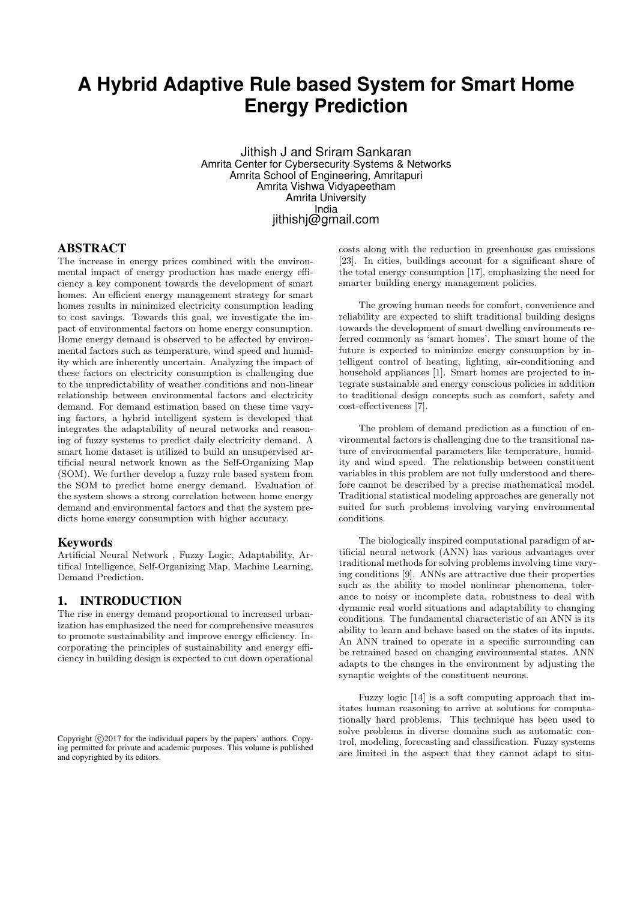# **A Hybrid Adaptive Rule based System for Smart Home Energy Prediction**

Jithish J and Sriram Sankaran Amrita Center for Cybersecurity Systems & Networks Amrita School of Engineering, Amritapuri Amrita Vishwa Vidyapeetham Amrita University India jithishj@gmail.com

#### ABSTRACT

The increase in energy prices combined with the environmental impact of energy production has made energy efficiency a key component towards the development of smart homes. An efficient energy management strategy for smart homes results in minimized electricity consumption leading to cost savings. Towards this goal, we investigate the impact of environmental factors on home energy consumption. Home energy demand is observed to be affected by environmental factors such as temperature, wind speed and humidity which are inherently uncertain. Analyzing the impact of these factors on electricity consumption is challenging due to the unpredictability of weather conditions and non-linear relationship between environmental factors and electricity demand. For demand estimation based on these time varying factors, a hybrid intelligent system is developed that integrates the adaptability of neural networks and reasoning of fuzzy systems to predict daily electricity demand. A smart home dataset is utilized to build an unsupervised artificial neural network known as the Self-Organizing Map (SOM). We further develop a fuzzy rule based system from the SOM to predict home energy demand. Evaluation of the system shows a strong correlation between home energy demand and environmental factors and that the system predicts home energy consumption with higher accuracy.

#### Keywords

Artificial Neural Network , Fuzzy Logic, Adaptability, Artifical Intelligence, Self-Organizing Map, Machine Learning, Demand Prediction.

# 1. INTRODUCTION

The rise in energy demand proportional to increased urbanization has emphasized the need for comprehensive measures to promote sustainability and improve energy efficiency. Incorporating the principles of sustainability and energy efficiency in building design is expected to cut down operational costs along with the reduction in greenhouse gas emissions [23]. In cities, buildings account for a significant share of the total energy consumption [17], emphasizing the need for smarter building energy management policies.

The growing human needs for comfort, convenience and reliability are expected to shift traditional building designs towards the development of smart dwelling environments referred commonly as 'smart homes'. The smart home of the future is expected to minimize energy consumption by intelligent control of heating, lighting, air-conditioning and household appliances [1]. Smart homes are projected to integrate sustainable and energy conscious policies in addition to traditional design concepts such as comfort, safety and cost-effectiveness [7].

The problem of demand prediction as a function of environmental factors is challenging due to the transitional nature of environmental parameters like temperature, humidity and wind speed. The relationship between constituent variables in this problem are not fully understood and therefore cannot be described by a precise mathematical model. Traditional statistical modeling approaches are generally not suited for such problems involving varying environmental conditions.

The biologically inspired computational paradigm of artificial neural network (ANN) has various advantages over traditional methods for solving problems involving time varying conditions [9]. ANNs are attractive due their properties such as the ability to model nonlinear phenomena, tolerance to noisy or incomplete data, robustness to deal with dynamic real world situations and adaptability to changing conditions. The fundamental characteristic of an ANN is its ability to learn and behave based on the states of its inputs. An ANN trained to operate in a specific surrounding can be retrained based on changing environmental states. ANN adapts to the changes in the environment by adjusting the synaptic weights of the constituent neurons.

Fuzzy logic [14] is a soft computing approach that imitates human reasoning to arrive at solutions for computationally hard problems. This technique has been used to solve problems in diverse domains such as automatic control, modeling, forecasting and classification. Fuzzy systems are limited in the aspect that they cannot adapt to situ-

Copyright  $\odot$ 2017 for the individual papers by the papers' authors. Copying permitted for private and academic purposes. This volume is published and copyrighted by its editors.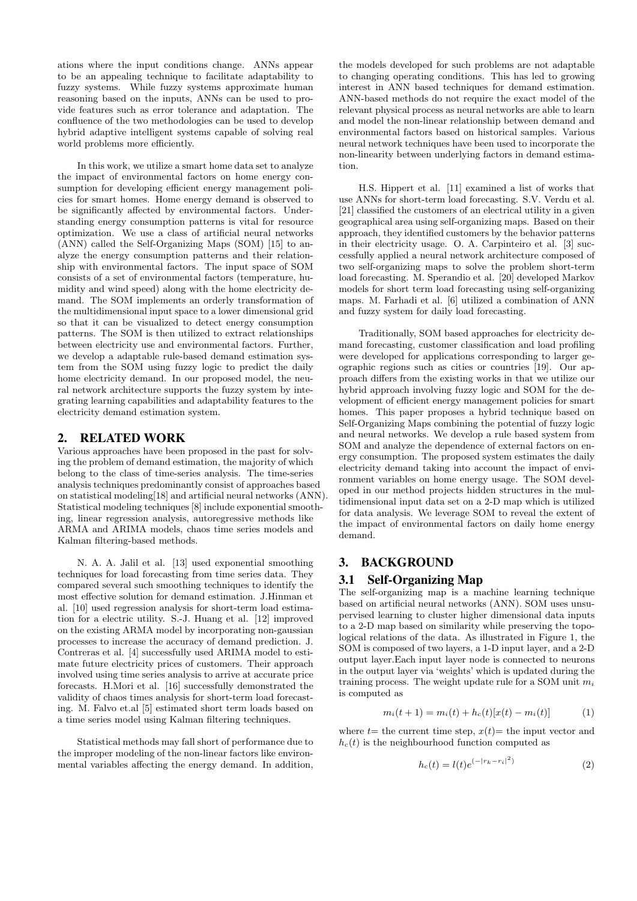ations where the input conditions change. ANNs appear to be an appealing technique to facilitate adaptability to fuzzy systems. While fuzzy systems approximate human reasoning based on the inputs, ANNs can be used to provide features such as error tolerance and adaptation. The confluence of the two methodologies can be used to develop hybrid adaptive intelligent systems capable of solving real world problems more efficiently.

In this work, we utilize a smart home data set to analyze the impact of environmental factors on home energy consumption for developing efficient energy management policies for smart homes. Home energy demand is observed to be significantly affected by environmental factors. Understanding energy consumption patterns is vital for resource optimization. We use a class of artificial neural networks (ANN) called the Self-Organizing Maps (SOM) [15] to analyze the energy consumption patterns and their relationship with environmental factors. The input space of SOM consists of a set of environmental factors (temperature, humidity and wind speed) along with the home electricity demand. The SOM implements an orderly transformation of the multidimensional input space to a lower dimensional grid so that it can be visualized to detect energy consumption patterns. The SOM is then utilized to extract relationships between electricity use and environmental factors. Further, we develop a adaptable rule-based demand estimation system from the SOM using fuzzy logic to predict the daily home electricity demand. In our proposed model, the neural network architecture supports the fuzzy system by integrating learning capabilities and adaptability features to the electricity demand estimation system.

# 2. RELATED WORK

Various approaches have been proposed in the past for solving the problem of demand estimation, the majority of which belong to the class of time-series analysis. The time-series analysis techniques predominantly consist of approaches based on statistical modeling[18] and artificial neural networks (ANN). Statistical modeling techniques [8] include exponential smoothing, linear regression analysis, autoregressive methods like ARMA and ARIMA models, chaos time series models and Kalman filtering-based methods.

N. A. A. Jalil et al. [13] used exponential smoothing techniques for load forecasting from time series data. They compared several such smoothing techniques to identify the most effective solution for demand estimation. J.Hinman et al. [10] used regression analysis for short-term load estimation for a electric utility. S.-J. Huang et al. [12] improved on the existing ARMA model by incorporating non-gaussian processes to increase the accuracy of demand prediction. J. Contreras et al. [4] successfully used ARIMA model to estimate future electricity prices of customers. Their approach involved using time series analysis to arrive at accurate price forecasts. H.Mori et al. [16] successfully demonstrated the validity of chaos times analysis for short-term load forecasting. M. Falvo et.al [5] estimated short term loads based on a time series model using Kalman filtering techniques.

Statistical methods may fall short of performance due to the improper modeling of the non-linear factors like environmental variables affecting the energy demand. In addition,

the models developed for such problems are not adaptable to changing operating conditions. This has led to growing interest in ANN based techniques for demand estimation. ANN-based methods do not require the exact model of the relevant physical process as neural networks are able to learn and model the non-linear relationship between demand and environmental factors based on historical samples. Various neural network techniques have been used to incorporate the non-linearity between underlying factors in demand estimation.

H.S. Hippert et al. [11] examined a list of works that use ANNs for short-term load forecasting. S.V. Verdu et al. [21] classified the customers of an electrical utility in a given geographical area using self-organizing maps. Based on their approach, they identified customers by the behavior patterns in their electricity usage. O. A. Carpinteiro et al. [3] successfully applied a neural network architecture composed of two self-organizing maps to solve the problem short-term load forecasting. M. Sperandio et al. [20] developed Markov models for short term load forecasting using self-organizing maps. M. Farhadi et al. [6] utilized a combination of ANN and fuzzy system for daily load forecasting.

Traditionally, SOM based approaches for electricity demand forecasting, customer classification and load profiling were developed for applications corresponding to larger geographic regions such as cities or countries [19]. Our approach differs from the existing works in that we utilize our hybrid approach involving fuzzy logic and SOM for the development of efficient energy management policies for smart homes. This paper proposes a hybrid technique based on Self-Organizing Maps combining the potential of fuzzy logic and neural networks. We develop a rule based system from SOM and analyze the dependence of external factors on energy consumption. The proposed system estimates the daily electricity demand taking into account the impact of environment variables on home energy usage. The SOM developed in our method projects hidden structures in the multidimensional input data set on a 2-D map which is utilized for data analysis. We leverage SOM to reveal the extent of the impact of environmental factors on daily home energy demand.

# 3. BACKGROUND

#### 3.1 Self-Organizing Map

The self-organizing map is a machine learning technique based on artificial neural networks (ANN). SOM uses unsupervised learning to cluster higher dimensional data inputs to a 2-D map based on similarity while preserving the topological relations of the data. As illustrated in Figure 1, the SOM is composed of two layers, a 1-D input layer, and a 2-D output layer.Each input layer node is connected to neurons in the output layer via 'weights' which is updated during the training process. The weight update rule for a SOM unit  $m_i$ is computed as

$$
m_i(t+1) = m_i(t) + h_c(t)[x(t) - m_i(t)]
$$
 (1)

where  $t=$  the current time step,  $x(t)=$  the input vector and  $h_c(t)$  is the neighbourhood function computed as

$$
h_c(t) = l(t)e^{(-|r_k - r_i|^2)}
$$
\n(2)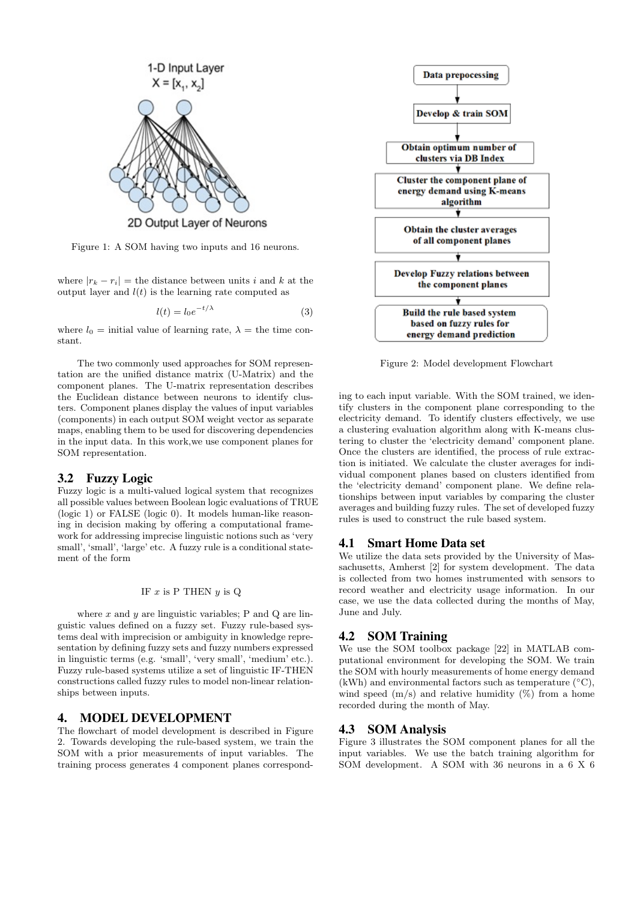

Figure 1: A SOM having two inputs and 16 neurons.

where  $|r_k - r_i|$  = the distance between units i and k at the output layer and  $l(t)$  is the learning rate computed as

$$
l(t) = l_0 e^{-t/\lambda} \tag{3}
$$

where  $l_0 =$  initial value of learning rate,  $\lambda =$  the time constant.

The two commonly used approaches for SOM representation are the unified distance matrix (U-Matrix) and the component planes. The U-matrix representation describes the Euclidean distance between neurons to identify clusters. Component planes display the values of input variables (components) in each output SOM weight vector as separate maps, enabling them to be used for discovering dependencies in the input data. In this work,we use component planes for SOM representation.

#### 3.2 Fuzzy Logic

Fuzzy logic is a multi-valued logical system that recognizes all possible values between Boolean logic evaluations of TRUE (logic 1) or FALSE (logic 0). It models human-like reasoning in decision making by offering a computational framework for addressing imprecise linguistic notions such as 'very small', 'small', 'large' etc. A fuzzy rule is a conditional statement of the form

#### IF  $x$  is P THEN  $y$  is Q

where  $x$  and  $y$  are linguistic variables; P and Q are linguistic values defined on a fuzzy set. Fuzzy rule-based systems deal with imprecision or ambiguity in knowledge representation by defining fuzzy sets and fuzzy numbers expressed in linguistic terms (e.g. 'small', 'very small', 'medium' etc.). Fuzzy rule-based systems utilize a set of linguistic IF-THEN constructions called fuzzy rules to model non-linear relationships between inputs.

#### 4. MODEL DEVELOPMENT

The flowchart of model development is described in Figure 2. Towards developing the rule-based system, we train the SOM with a prior measurements of input variables. The training process generates 4 component planes correspond-



Figure 2: Model development Flowchart

ing to each input variable. With the SOM trained, we identify clusters in the component plane corresponding to the electricity demand. To identify clusters effectively, we use a clustering evaluation algorithm along with K-means clustering to cluster the 'electricity demand' component plane. Once the clusters are identified, the process of rule extraction is initiated. We calculate the cluster averages for individual component planes based on clusters identified from the 'electricity demand' component plane. We define relationships between input variables by comparing the cluster averages and building fuzzy rules. The set of developed fuzzy rules is used to construct the rule based system.

#### 4.1 Smart Home Data set

We utilize the data sets provided by the University of Massachusetts, Amherst [2] for system development. The data is collected from two homes instrumented with sensors to record weather and electricity usage information. In our case, we use the data collected during the months of May, June and July.

## 4.2 SOM Training

We use the SOM toolbox package [22] in MATLAB computational environment for developing the SOM. We train the SOM with hourly measurements of home energy demand (kWh) and environmental factors such as temperature  $(^{\circ}C)$ , wind speed  $(m/s)$  and relative humidity  $(\%)$  from a home recorded during the month of May.

#### 4.3 SOM Analysis

Figure 3 illustrates the SOM component planes for all the input variables. We use the batch training algorithm for SOM development. A SOM with 36 neurons in a 6 X 6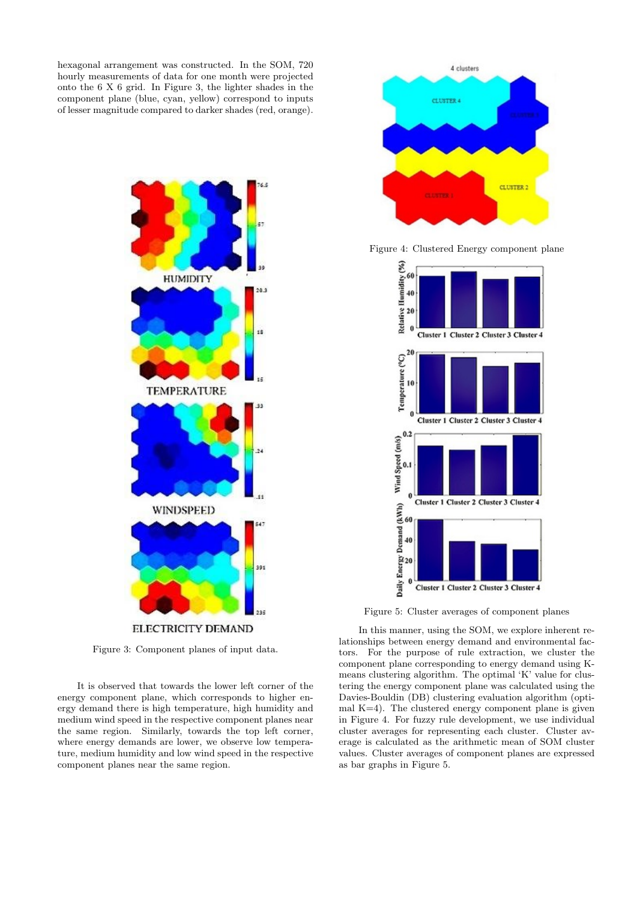hexagonal arrangement was constructed. In the SOM, 720 hourly measurements of data for one month were projected onto the 6 X 6 grid. In Figure 3, the lighter shades in the component plane (blue, cyan, yellow) correspond to inputs of lesser magnitude compared to darker shades (red, orange).



Figure 3: Component planes of input data.

It is observed that towards the lower left corner of the energy component plane, which corresponds to higher energy demand there is high temperature, high humidity and medium wind speed in the respective component planes near the same region. Similarly, towards the top left corner, where energy demands are lower, we observe low temperature, medium humidity and low wind speed in the respective component planes near the same region.



Figure 4: Clustered Energy component plane



Figure 5: Cluster averages of component planes

In this manner, using the SOM, we explore inherent relationships between energy demand and environmental factors. For the purpose of rule extraction, we cluster the component plane corresponding to energy demand using Kmeans clustering algorithm. The optimal 'K' value for clustering the energy component plane was calculated using the Davies-Bouldin (DB) clustering evaluation algorithm (optimal  $K=4$ ). The clustered energy component plane is given in Figure 4. For fuzzy rule development, we use individual cluster averages for representing each cluster. Cluster average is calculated as the arithmetic mean of SOM cluster values. Cluster averages of component planes are expressed as bar graphs in Figure 5.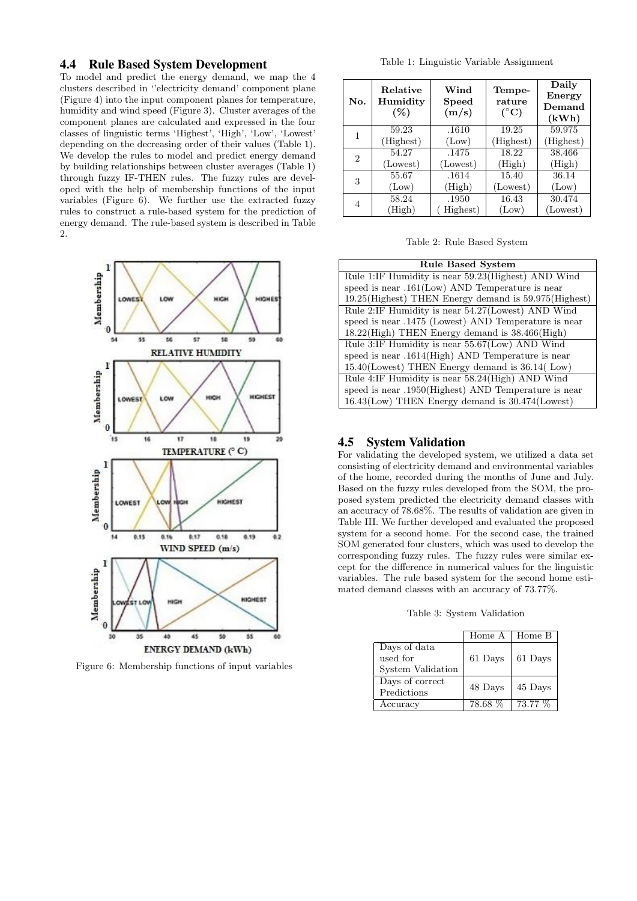# 4.4 Rule Based System Development

To model and predict the energy demand, we map the 4 clusters described in ''electricity demand' component plane (Figure 4) into the input component planes for temperature, humidity and wind speed (Figure 3). Cluster averages of the component planes are calculated and expressed in the four classes of linguistic terms 'Highest', 'High', 'Low', 'Lowest' depending on the decreasing order of their values (Table 1). We develop the rules to model and predict energy demand by building relationships between cluster averages (Table 1) through fuzzy IF-THEN rules. The fuzzy rules are developed with the help of membership functions of the input variables (Figure 6). We further use the extracted fuzzy rules to construct a rule-based system for the prediction of energy demand. The rule-based system is described in Table 2.



Figure 6: Membership functions of input variables

Table 1: Linguistic Variable Assignment

| No. | Relative<br>Humidity<br>$(\%)$ | Wind<br><b>Speed</b><br>(m/s) | Tempe-<br>rature<br>$({}^{\circ}C)$ | Daily<br>Energy<br>Demand<br>(kWh) |
|-----|--------------------------------|-------------------------------|-------------------------------------|------------------------------------|
| 1   | 59.23                          | .1610                         | 19.25                               | 59.975                             |
|     | (Highest)                      | (Low)                         | (Highest)                           | (Highest)                          |
| 2   | 54.27                          | .1475                         | 18.22                               | 38.466                             |
|     | (Lowest)                       | (Lowest)                      | (High)                              | (High)                             |
| 3   | 55.67                          | .1614                         | 15.40                               | 36.14                              |
|     | (Low)                          | (High)                        | (Lowest)                            | (Low)                              |
| 4   | 58.24                          | .1950                         | 16.43                               | 30.474                             |
|     | (High)                         | Highest)                      | (Low)                               | (Lowest)                           |

Table 2: Rule Based System

| <b>Rule Based System</b>                               |  |  |  |
|--------------------------------------------------------|--|--|--|
| Rule 1:IF Humidity is near 59.23 (Highest) AND Wind    |  |  |  |
| speed is near $.161$ (Low) AND Temperature is near     |  |  |  |
| 19.25 (Highest) THEN Energy demand is 59.975 (Highest) |  |  |  |
| Rule 2:IF Humidity is near 54.27 (Lowest) AND Wind     |  |  |  |
| speed is near .1475 (Lowest) AND Temperature is near   |  |  |  |
| 18.22(High) THEN Energy demand is 38.466(High)         |  |  |  |
| Rule 3:IF Humidity is near 55.67(Low) AND Wind         |  |  |  |
| speed is near .1614(High) AND Temperature is near      |  |  |  |
| 15.40(Lowest) THEN Energy demand is 36.14(Low)         |  |  |  |
| Rule 4:IF Humidity is near 58.24(High) AND Wind        |  |  |  |
| speed is near .1950(Highest) AND Temperature is near   |  |  |  |
| $16.43$ (Low) THEN Energy demand is $30.474$ (Lowest)  |  |  |  |

## 4.5 System Validation

For validating the developed system, we utilized a data set consisting of electricity demand and environmental variables of the home, recorded during the months of June and July. Based on the fuzzy rules developed from the SOM, the proposed system predicted the electricity demand classes with an accuracy of 78.68%. The results of validation are given in Table III. We further developed and evaluated the proposed system for a second home. For the second case, the trained SOM generated four clusters, which was used to develop the corresponding fuzzy rules. The fuzzy rules were similar except for the difference in numerical values for the linguistic variables. The rule based system for the second home estimated demand classes with an accuracy of 73.77%.

Table 3: System Validation

|                                                      | Home A  | Home B  |
|------------------------------------------------------|---------|---------|
| Days of data<br>used for<br><b>System Validation</b> | 61 Days | 61 Days |
| Days of correct<br>Predictions                       | 48 Days | 45 Days |
| Accuracy                                             | 78.68 % | 73.77 % |